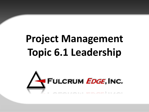# **Project Management Topic 6.1 Leadership**

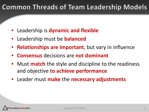### **Common Threads of Team Leadership Models**

- Leadership is **dynamic and flexible**
- Leadership must be **balanced**
- **Relationships are important**, but vary in influence
- **Consensus** decisions are **not dominant**
- Must **match** the style and discipline to the readiness and objective **to achieve performance**
- Leader must **make** the **necessary adjustments**

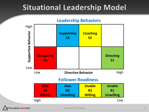# **Situational Leadership Model**

#### **Leadership Behaviors**



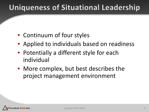# **Uniqueness of Situational Leadership**

- Continuum of four styles
- Applied to individuals based on readiness
- Potentially a different style for each individual
- More complex, but best describes the project management environment

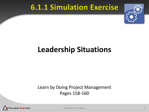### **6.1.1 Simulation Exercise**



# **Leadership Situations**

#### Learn by Doing Project Management Pages 158-160



Copyright © 2013 Baker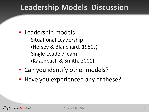### **Leadership Models Discussion**

- Leadership models
	- Situational Leadership – (Hersey & Blanchard, 1980s)
	- Single Leader/Team – (Kazenbach & Smith, 2001)
- Can you identify other models?
- Have you experienced any of these?

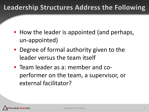### Leadership Structures Address the Following

- How the leader is appointed (and perhaps, un-appointed)
- Degree of formal authority given to the leader versus the team itself
- Team leader as a: member and coperformer on the team, a supervisor, or external facilitator?